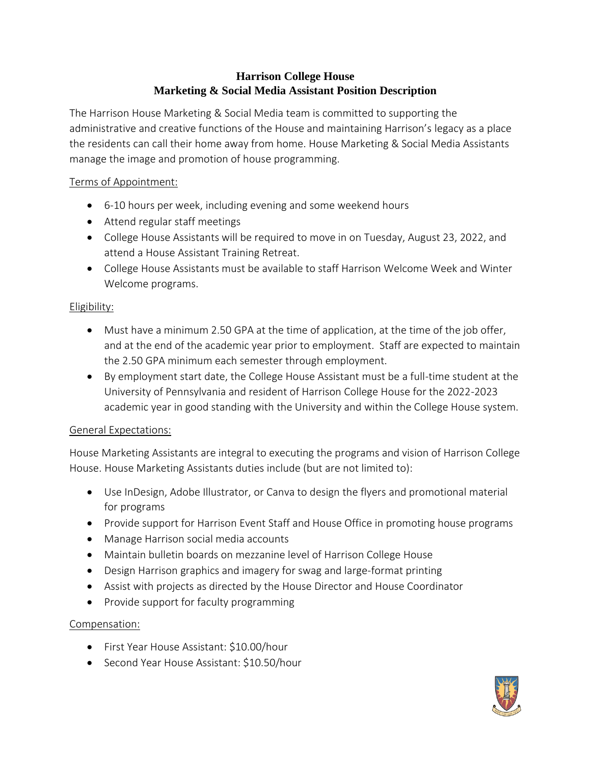# **Harrison College House Marketing & Social Media Assistant Position Description**

The Harrison House Marketing & Social Media team is committed to supporting the administrative and creative functions of the House and maintaining Harrison's legacy as a place the residents can call their home away from home. House Marketing & Social Media Assistants manage the image and promotion of house programming.

## Terms of Appointment:

- 6-10 hours per week, including evening and some weekend hours
- Attend regular staff meetings
- College House Assistants will be required to move in on Tuesday, August 23, 2022, and attend a House Assistant Training Retreat.
- College House Assistants must be available to staff Harrison Welcome Week and Winter Welcome programs.

### Eligibility:

- Must have a minimum 2.50 GPA at the time of application, at the time of the job offer, and at the end of the academic year prior to employment. Staff are expected to maintain the 2.50 GPA minimum each semester through employment.
- By employment start date, the College House Assistant must be a full-time student at the University of Pennsylvania and resident of Harrison College House for the 2022-2023 academic year in good standing with the University and within the College House system.

#### General Expectations:

House Marketing Assistants are integral to executing the programs and vision of Harrison College House. House Marketing Assistants duties include (but are not limited to):

- Use InDesign, Adobe Illustrator, or Canva to design the flyers and promotional material for programs
- Provide support for Harrison Event Staff and House Office in promoting house programs
- Manage Harrison social media accounts
- Maintain bulletin boards on mezzanine level of Harrison College House
- Design Harrison graphics and imagery for swag and large-format printing
- Assist with projects as directed by the House Director and House Coordinator
- Provide support for faculty programming

#### Compensation:

- First Year House Assistant: \$10.00/hour
- Second Year House Assistant: \$10.50/hour